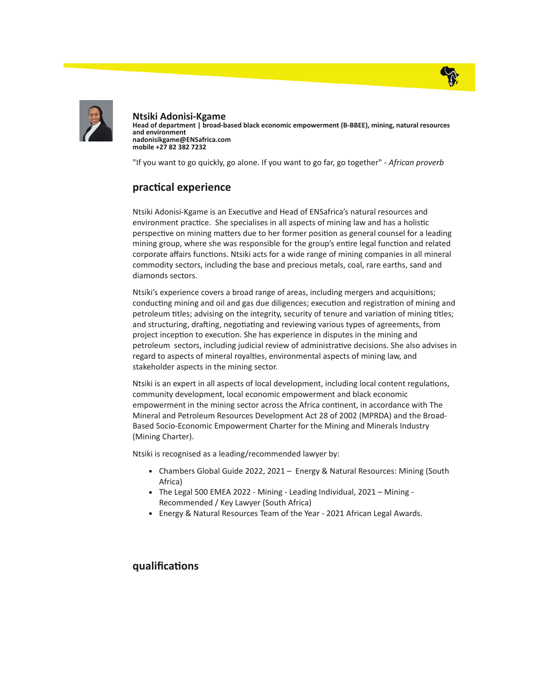



Ntsiki Adonisi-Kgame Head of department | broad-based black economic empowerment (B-BBEE), mining, natural resources and environment nadonisikgame@ENSafrica.com mobile +27 82 382 7232

"If you want to go quickly, go alone. If you want to go far, go together" - African proverb

## practical experience

Ntsiki Adonisi-Kgame is an Executive and Head of ENSafrica's natural resources and environment practice. She specialises in all aspects of mining law and has a holistic perspective on mining matters due to her former position as general counsel for a leading mining group, where she was responsible for the group's entire legal function and related corporate affairs functions. Ntsiki acts for a wide range of mining companies in all mineral commodity sectors, including the base and precious metals, coal, rare earths, sand and diamonds sectors.

Ntsiki's experience covers a broad range of areas, including mergers and acquisitions; conducting mining and oil and gas due diligences; execution and registration of mining and petroleum titles; advising on the integrity, security of tenure and variation of mining titles; and structuring, drafting, negotiating and reviewing various types of agreements, from project inception to execution. She has experience in disputes in the mining and petroleum sectors, including judicial review of administrative decisions. She also advises in regard to aspects of mineral royalties, environmental aspects of mining law, and stakeholder aspects in the mining sector.

Ntsiki is an expert in all aspects of local development, including local content regulations, community development, local economic empowerment and black economic empowerment in the mining sector across the Africa continent, in accordance with The Mineral and Petroleum Resources Development Act 28 of 2002 (MPRDA) and the Broad-Based Socio-Economic Empowerment Charter for the Mining and Minerals Industry (Mining Charter).

Ntsiki is recognised as a leading/recommended lawyer by:

- Chambers Global Guide 2022, 2021 Energy & Natural Resources: Mining (South Africa)
- The Legal 500 EMEA 2022 Mining Leading Individual, 2021 Mining Recommended / Key Lawyer (South Africa)
- Energy & Natural Resources Team of the Year 2021 African Legal Awards.

## qualifications